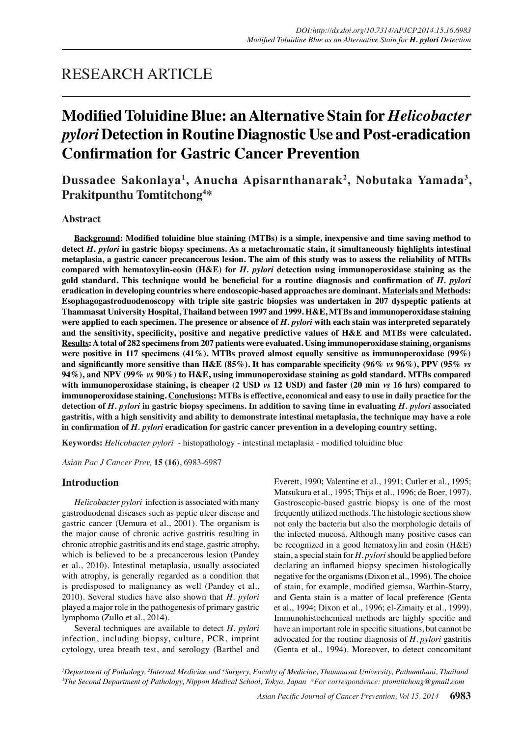## RESEARCH ARTICLE

# **Modified Toluidine Blue: an Alternative Stain for** *Helicobacter pylori* **Detection in Routine Diagnostic Use and Post-eradication Confirmation for Gastric Cancer Prevention**

**Dussadee Sakonlaya<sup>1</sup> , Anucha Apisarnthanarak2 , Nobutaka Yamada<sup>3</sup> , Prakitpunthu Tomtitchong4 \***

## **Abstract**

**Background: Modified toluidine blue staining (MTBs) is a simple, inexpensive and time saving method to detect** *H. pylori* **in gastric biopsy specimens. As a metachromatic stain, it simultaneously highlights intestinal metaplasia, a gastric cancer precancerous lesion. The aim of this study was to assess the reliability of MTBs compared with hematoxylin-eosin (H&E) for** *H. pylori* **detection using immunoperoxidase staining as the gold standard. This technique would be beneficial for a routine diagnosis and confirmation of** *H. pylori* **eradication in developing countries where endoscopic-based approaches are dominant. Materials and Methods: Esophagogastroduodenoscopy with triple site gastric biopsies was undertaken in 207 dyspeptic patients at Thammasat University Hospital, Thailand between 1997 and 1999. H&E, MTBs and immunoperoxidase staining were applied to each specimen. The presence or absence of** *H. pylori* **with each stain was interpreted separately and the sensitivity, specificity, positive and negative predictive values of H&E and MTBs were calculated. Results: A total of 282 specimens from 207 patients were evaluated. Using immunoperoxidase staining, organisms were positive in 117 specimens (41%). MTBs proved almost equally sensitive as immunoperoxidase (99%) and significantly more sensitive than H&E (85%). It has comparable specificity (96%** *vs* **96%), PPV (95%** *vs*  **94%), and NPV (99%** *vs* **90%) to H&E, using immunoperoxidase staining as gold standard. MTBs compared with immunoperoxidase staining, is cheaper (2 USD** *vs* **12 USD) and faster (20 min** *vs* **16 hrs) compared to immunoperoxidase staining. Conclusions: MTBs is effective, economical and easy to use in daily practice for the detection of** *H. pylori* **in gastric biopsy specimens. In addition to saving time in evaluating** *H. pylori* **associated gastritis, with a high sensitivity and ability to demonstrate intestinal metaplasia, the technique may have a role in confirmation of** *H. pylori* **eradication for gastric cancer prevention in a developing country setting.** 

**Keywords:** *Helicobacter pylori* - histopathology - intestinal metaplasia - modified toluidine blue

*Asian Pac J Cancer Prev,* **15 (16)**, 6983-6987

#### **Introduction**

*Helicobacter pylori* infection is associated with many gastroduodenal diseases such as peptic ulcer disease and gastric cancer (Uemura et al., 2001). The organism is the major cause of chronic active gastritis resulting in chronic atrophic gastritis and its end stage, gastric atrophy, which is believed to be a precancerous lesion (Pandey et al., 2010). Intestinal metaplasia, usually associated with atrophy, is generally regarded as a condition that is predisposed to malignancy as well (Pandey et al., 2010). Several studies have also shown that *H. pylori* played a major role in the pathogenesis of primary gastric lymphoma (Zullo et al., 2014).

Several techniques are available to detect *H. pylori* infection, including biopsy, culture, PCR, imprint cytology, urea breath test, and serology (Barthel and

Everett, 1990; Valentine et al., 1991; Cutler et al., 1995; Matsukura et al., 1995; Thijs et al., 1996; de Boer, 1997). Gastroscopic-based gastric biopsy is one of the most frequently utilized methods. The histologic sections show not only the bacteria but also the morphologic details of the infected mucosa. Although many positive cases can be recognized in a good hematoxylin and eosin (H&E) stain, a special stain for *H. pylori* should be applied before declaring an inflamed biopsy specimen histologically negative for the organisms (Dixon et al., 1996). The choice of stain, for example, modified giemsa, Warthin-Starry, and Genta stain is a matter of local preference (Genta et al., 1994; Dixon et al., 1996; el-Zimaity et al., 1999). Immunohistochemical methods are highly specific and have an important role in specific situations, but cannot be advocated for the routine diagnosis of *H. pylori* gastritis (Genta et al., 1994). Moreover, to detect concomitant

*1 Department of Pathology, 2 Internal Medicine and 4 Surgery, Faculty of Medicine, Thammasat University, Pathumthani, Thailand 3 The Second Department of Pathology, Nippon Medical School, Tokyo, Japan \*For correspondence: ptomtitchong@gmail.com*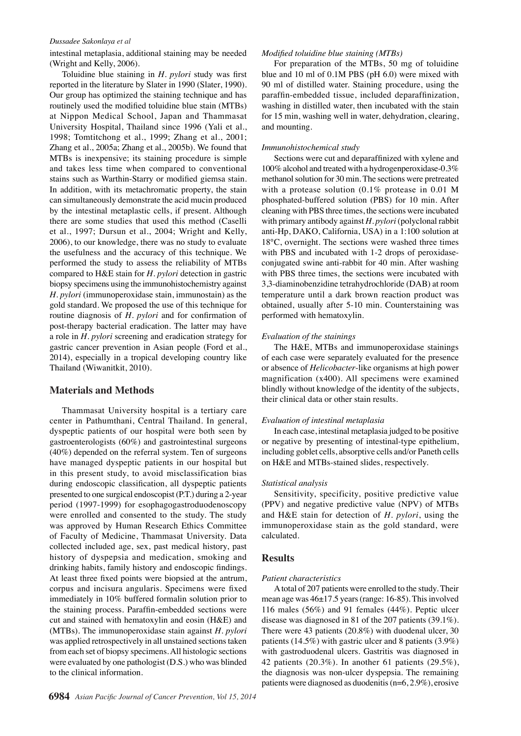#### *Dussadee Sakonlaya et al*

intestinal metaplasia, additional staining may be needed (Wright and Kelly, 2006).

Toluidine blue staining in *H. pylori* study was first reported in the literature by Slater in 1990 (Slater, 1990). Our group has optimized the staining technique and has routinely used the modified toluidine blue stain (MTBs) at Nippon Medical School, Japan and Thammasat University Hospital, Thailand since 1996 (Yali et al., 1998; Tomtitchong et al., 1999; Zhang et al., 2001; Zhang et al., 2005a; Zhang et al., 2005b). We found that MTBs is inexpensive; its staining procedure is simple and takes less time when compared to conventional stains such as Warthin-Starry or modified giemsa stain. In addition, with its metachromatic property, the stain can simultaneously demonstrate the acid mucin produced by the intestinal metaplastic cells, if present. Although there are some studies that used this method (Caselli et al., 1997; Dursun et al., 2004; Wright and Kelly, 2006), to our knowledge, there was no study to evaluate the usefulness and the accuracy of this technique. We performed the study to assess the reliability of MTBs compared to H&E stain for *H. pylori* detection in gastric biopsy specimens using the immunohistochemistry against *H. pylori* (immunoperoxidase stain, immunostain) as the gold standard. We proposed the use of this technique for routine diagnosis of *H. pylori* and for confirmation of post-therapy bacterial eradication. The latter may have a role in *H. pylori* screening and eradication strategy for gastric cancer prevention in Asian people (Ford et al., 2014), especially in a tropical developing country like Thailand (Wiwanitkit, 2010).

## **Materials and Methods**

Thammasat University hospital is a tertiary care center in Pathumthani, Central Thailand. In general, dyspeptic patients of our hospital were both seen by gastroenterologists (60%) and gastrointestinal surgeons (40%) depended on the referral system. Ten of surgeons have managed dyspeptic patients in our hospital but in this present study, to avoid misclassification bias during endoscopic classification, all dyspeptic patients presented to one surgical endoscopist (P.T.) during a 2-year period (1997-1999) for esophagogastroduodenoscopy were enrolled and consented to the study. The study was approved by Human Research Ethics Committee of Faculty of Medicine, Thammasat University. Data collected included age, sex, past medical history, past history of dyspepsia and medication, smoking and drinking habits, family history and endoscopic findings. At least three fixed points were biopsied at the antrum, corpus and incisura angularis. Specimens were fixed immediately in 10% buffered formalin solution prior to the staining process. Paraffin-embedded sections were cut and stained with hematoxylin and eosin (H&E) and (MTBs). The immunoperoxidase stain against *H. pylori* was applied retrospectively in all unstained sections taken from each set of biopsy specimens. All histologic sections were evaluated by one pathologist (D.S.) who was blinded to the clinical information.

#### *Modified toluidine blue staining (MTBs)*

For preparation of the MTBs, 50 mg of toluidine blue and 10 ml of 0.1M PBS (pH 6.0) were mixed with 90 ml of distilled water. Staining procedure, using the paraffin-embedded tissue, included deparaffinization, washing in distilled water, then incubated with the stain for 15 min, washing well in water, dehydration, clearing, and mounting.

#### *Immunohistochemical study*

Sections were cut and deparaffinized with xylene and 100% alcohol and treated with a hydrogenperoxidase-0.3% methanol solution for 30 min. The sections were pretreated with a protease solution (0.1% protease in 0.01 M phosphated-buffered solution (PBS) for 10 min. After cleaning with PBS three times, the sections were incubated with primary antibody against *H. pylori* (polyclonal rabbit anti-Hp, DAKO, California, USA) in a 1:100 solution at 18°C, overnight. The sections were washed three times with PBS and incubated with 1-2 drops of peroxidaseconjugated swine anti-rabbit for 40 min. After washing with PBS three times, the sections were incubated with 3,3-diaminobenzidine tetrahydrochloride (DAB) at room temperature until a dark brown reaction product was obtained, usually after 5-10 min. Counterstaining was performed with hematoxylin.

#### *Evaluation of the stainings*

The H&E, MTBs and immunoperoxidase stainings of each case were separately evaluated for the presence or absence of *Helicobacter*-like organisms at high power magnification (x400). All specimens were examined blindly without knowledge of the identity of the subjects, their clinical data or other stain results.

#### *Evaluation of intestinal metaplasia*

In each case, intestinal metaplasia judged to be positive or negative by presenting of intestinal-type epithelium, including goblet cells, absorptive cells and/or Paneth cells on H&E and MTBs-stained slides, respectively.

#### *Statistical analysis*

Sensitivity, specificity, positive predictive value (PPV) and negative predictive value (NPV) of MTBs and H&E stain for detection of *H. pylori*, using the immunoperoxidase stain as the gold standard, were calculated.

#### **Results**

#### *Patient characteristics*

A total of 207 patients were enrolled to the study. Their mean age was 46±17.5 years (range: 16-85). This involved 116 males (56%) and 91 females (44%). Peptic ulcer disease was diagnosed in 81 of the 207 patients (39.1%). There were 43 patients (20.8%) with duodenal ulcer, 30 patients (14.5%) with gastric ulcer and 8 patients (3.9%) with gastroduodenal ulcers. Gastritis was diagnosed in 42 patients (20.3%). In another 61 patients (29.5%), the diagnosis was non-ulcer dyspepsia. The remaining patients were diagnosed as duodenitis (n=6, 2.9%), erosive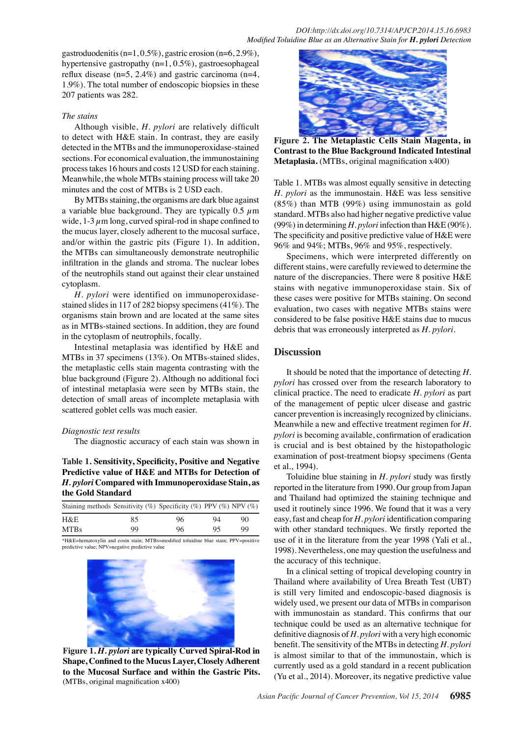gastroduodenitis (n=1, 0.5%), gastric erosion (n=6, 2.9%), hypertensive gastropathy (n=1, 0.5%), gastroesophageal reflux disease (n=5, 2.4%) and gastric carcinoma (n=4, 1.9%). The total number of endoscopic biopsies in these 207 patients was 282.

#### *The stains*

Although visible, *H. pylori* are relatively difficult to detect with H&E stain. In contrast, they are easily detected in the MTBs and the immunoperoxidase-stained sections. For economical evaluation, the immunostaining process takes 16 hours and costs 12 USD for each staining. Meanwhile, the whole MTBs staining process will take 20 minutes and the cost of MTBs is 2 USD each.

By MTBs staining, the organisms are dark blue against a variable blue background. They are typically  $0.5 \mu m$ wide,  $1-3 \mu$ m long, curved spiral-rod in shape confined to the mucus layer, closely adherent to the mucosal surface, and/or within the gastric pits (Figure 1). In addition, the MTBs can simultaneously demonstrate neutrophilic infiltration in the glands and stroma. The nuclear lobes of the neutrophils stand out against their clear unstained cytoplasm.

*H. pylori* were identified on immunoperoxidasestained slides in 117 of 282 biopsy specimens (41%). The organisms stain brown and are located at the same sites as in MTBs-stained sections. In addition, they are found in the cytoplasm of neutrophils, focally.

Intestinal metaplasia was identified by H&E and MTBs in 37 specimens (13%). On MTBs-stained slides, the metaplastic cells stain magenta contrasting with the blue background (Figure 2). Although no additional foci of intestinal metaplasia were seen by MTBs stain, the detection of small areas of incomplete metaplasia with scattered goblet cells was much easier.

#### *Diagnostic test results*

The diagnostic accuracy of each stain was shown in

## **Table 1. Sensitivity, Specificity, Positive and Negative Predictive value of H&E and MTBs for Detection of**  *H. pylori* **Compared with Immunoperoxidase Stain, as the Gold Standard**

| Staining methods Sensitivity (%) Specificity (%) PPV (%) NPV (%) |    |    |    |    |
|------------------------------------------------------------------|----|----|----|----|
| H&E                                                              | 85 | 96 | 94 | 90 |
| <b>MTBs</b>                                                      | 99 | 96 | 95 | 99 |

\*H&E=hematoxylin and eosin stain; MTBs=modified toluidine blue stain; PPV=positive predictive value; NPV=negative predictive value



**Figure 1.** *H. pylori* **are typically Curved Spiral-Rod in Shape, Confined to the Mucus Layer, Closely Adherent to the Mucosal Surface and within the Gastric Pits.**  (MTBs, original magnification x400)



**Figure 2. The Metaplastic Cells Stain Magenta, in Contrast to the Blue Background Indicated Intestinal Metaplasia.** (MTBs, original magnification x400)

Table 1. MTBs was almost equally sensitive in detecting *H. pylori* as the immunostain. H&E was less sensitive (85%) than MTB (99%) using immunostain as gold standard. MTBs also had higher negative predictive value (99%) in determining *H. pylori* infection than H&E (90%). The specificity and positive predictive value of H&E were 96% and 94%; MTBs, 96% and 95%, respectively.

Specimens, which were interpreted differently on different stains, were carefully reviewed to determine the nature of the discrepancies. There were 8 positive H&E stains with negative immunoperoxidase stain. Six of these cases were positive for MTBs staining. On second evaluation, two cases with negative MTBs stains were considered to be false positive H&E stains due to mucus debris that was erroneously interpreted as *H. pylori*.

#### **Discussion**

It should be noted that the importance of detecting *H. pylori* has crossed over from the research laboratory to clinical practice. The need to eradicate *H. pylori* as part of the management of peptic ulcer disease and gastric cancer prevention is increasingly recognized by clinicians. Meanwhile a new and effective treatment regimen for *H. pylori* is becoming available, confirmation of eradication is crucial and is best obtained by the histopathologic examination of post-treatment biopsy specimens (Genta et al., 1994).

Toluidine blue staining in *H. pylori* study was firstly reported in the literature from 1990. Our group from Japan and Thailand had optimized the staining technique and used it routinely since 1996. We found that it was a very easy, fast and cheap for *H. pylori* identification comparing with other standard techniques. We firstly reported the use of it in the literature from the year 1998 (Yali et al., 1998). Nevertheless, one may question the usefulness and the accuracy of this technique.

In a clinical setting of tropical developing country in Thailand where availability of Urea Breath Test (UBT) is still very limited and endoscopic-based diagnosis is widely used, we present our data of MTBs in comparison with immunostain as standard. This confirms that our technique could be used as an alternative technique for definitive diagnosis of *H. pylori* with a very high economic benefit. The sensitivity of the MTBs in detecting *H. pylori* is almost similar to that of the immunostain, which is currently used as a gold standard in a recent publication (Yu et al., 2014). Moreover, its negative predictive value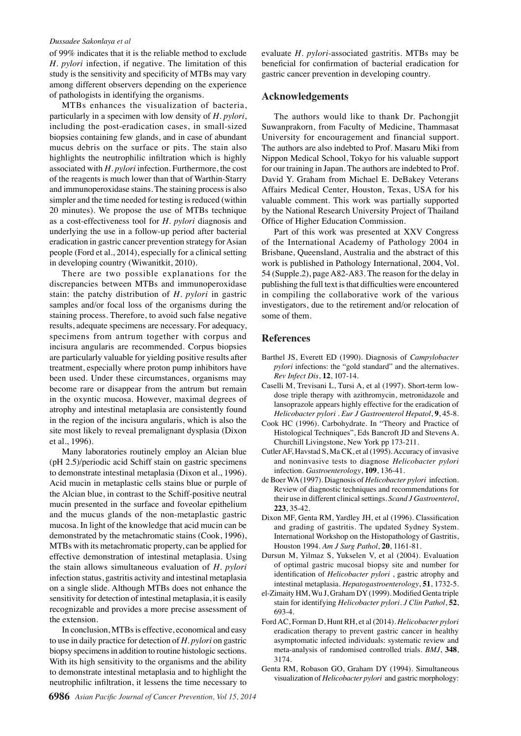#### *Dussadee Sakonlaya et al*

of 99% indicates that it is the reliable method to exclude *H. pylori* infection, if negative. The limitation of this study is the sensitivity and specificity of MTBs may vary among different observers depending on the experience of pathologists in identifying the organisms.

MTBs enhances the visualization of bacteria, particularly in a specimen with low density of *H. pylori*, including the post-eradication cases, in small-sized biopsies containing few glands, and in case of abundant mucus debris on the surface or pits. The stain also highlights the neutrophilic infiltration which is highly associated with *H. pylori* infection. Furthermore, the cost of the reagents is much lower than that of Warthin-Starry and immunoperoxidase stains. The staining process is also simpler and the time needed for testing is reduced (within 20 minutes). We propose the use of MTBs technique as a cost-effectiveness tool for *H. pylori* diagnosis and underlying the use in a follow-up period after bacterial eradication in gastric cancer prevention strategy for Asian people (Ford et al., 2014), especially for a clinical setting in developing country (Wiwanitkit, 2010).

There are two possible explanations for the discrepancies between MTBs and immunoperoxidase stain: the patchy distribution of *H. pylori* in gastric samples and/or focal loss of the organisms during the staining process. Therefore, to avoid such false negative results, adequate specimens are necessary. For adequacy, specimens from antrum together with corpus and incisura angularis are recommended. Corpus biopsies are particularly valuable for yielding positive results after treatment, especially where proton pump inhibitors have been used. Under these circumstances, organisms may become rare or disappear from the antrum but remain in the oxyntic mucosa. However, maximal degrees of atrophy and intestinal metaplasia are consistently found in the region of the incisura angularis, which is also the site most likely to reveal premalignant dysplasia (Dixon et al., 1996).

Many laboratories routinely employ an Alcian blue (pH 2.5)/periodic acid Schiff stain on gastric specimens to demonstrate intestinal metaplasia (Dixon et al., 1996). Acid mucin in metaplastic cells stains blue or purple of the Alcian blue, in contrast to the Schiff-positive neutral mucin presented in the surface and foveolar epithelium and the mucus glands of the non-metaplastic gastric mucosa. In light of the knowledge that acid mucin can be demonstrated by the metachromatic stains (Cook, 1996), MTBs with its metachromatic property, can be applied for effective demonstration of intestinal metaplasia. Using the stain allows simultaneous evaluation of *H. pylori* infection status, gastritis activity and intestinal metaplasia on a single slide. Although MTBs does not enhance the sensitivity for detection of intestinal metaplasia, it is easily recognizable and provides a more precise assessment of the extension.

In conclusion, MTBs is effective, economical and easy to use in daily practice for detection of *H. pylori* on gastric biopsy specimens in addition to routine histologic sections. With its high sensitivity to the organisms and the ability to demonstrate intestinal metaplasia and to highlight the neutrophilic infiltration, it lessens the time necessary to

evaluate *H. pylori*-associated gastritis. MTBs may be beneficial for confirmation of bacterial eradication for gastric cancer prevention in developing country.

#### **Acknowledgements**

The authors would like to thank Dr. Pachongjit Suwanprakorn, from Faculty of Medicine, Thammasat University for encouragement and financial support. The authors are also indebted to Prof. Masaru Miki from Nippon Medical School, Tokyo for his valuable support for our training in Japan. The authors are indebted to Prof. David Y. Graham from Michael E. DeBakey Veterans Affairs Medical Center, Houston, Texas, USA for his valuable comment. This work was partially supported by the National Research University Project of Thailand Office of Higher Education Commission.

Part of this work was presented at XXV Congress of the International Academy of Pathology 2004 in Brisbane, Queensland, Australia and the abstract of this work is published in Pathology International, 2004, Vol. 54 (Supple.2), page A82-A83. The reason for the delay in publishing the full text is that difficulties were encountered in compiling the collaborative work of the various investigators, due to the retirement and/or relocation of some of them.

### **References**

- Barthel JS, Everett ED (1990). Diagnosis of *Campylobacter pylori* infections: the "gold standard" and the alternatives. *Rev Infect Dis*, **12**, 107-14.
- Caselli M, Trevisani L, Tursi A, et al (1997). Short-term lowdose triple therapy with azithromycin, metronidazole and lansoprazole appears highly effective for the eradication of *Helicobacter pylori* . *Eur J Gastroenterol Hepatol*, **9**, 45-8.
- Cook HC (1996). Carbohydrate. In "Theory and Practice of Histological Techniques", Eds Bancroft JD and Stevens A. Churchill Livingstone, New York pp 173-211.
- Cutler AF, Havstad S, Ma CK, et al (1995). Accuracy of invasive and noninvasive tests to diagnose *Helicobacter pylori*  infection. *Gastroenterology*, **109**, 136-41.
- de Boer WA (1997). Diagnosis of *Helicobacter pylori* infection. Review of diagnostic techniques and recommendations for their use in different clinical settings. *Scand J Gastroenterol*, **223**, 35-42.
- Dixon MF, Genta RM, Yardley JH, et al (1996). Classification and grading of gastritis. The updated Sydney System. International Workshop on the Histopathology of Gastritis, Houston 1994. *Am J Surg Pathol*, **20**, 1161-81.
- Dursun M, Yilmaz S, Yukselen V, et al (2004). Evaluation of optimal gastric mucosal biopsy site and number for identification of *Helicobacter pylori* , gastric atrophy and intestinal metaplasia. *Hepatogastroenterology*, **51**, 1732-5.
- el-Zimaity HM, Wu J, Graham DY (1999). Modified Genta triple stain for identifying *Helicobacter pylori*. *J Clin Pathol*, **52**, 693-4.
- Ford AC, Forman D, Hunt RH, et al (2014). *Helicobacter pylori*  eradication therapy to prevent gastric cancer in healthy asymptomatic infected individuals: systematic review and meta-analysis of randomised controlled trials. *BMJ*, **348**, 3174.
- Genta RM, Robason GO, Graham DY (1994). Simultaneous visualization of *Helicobacter pylori* and gastric morphology: